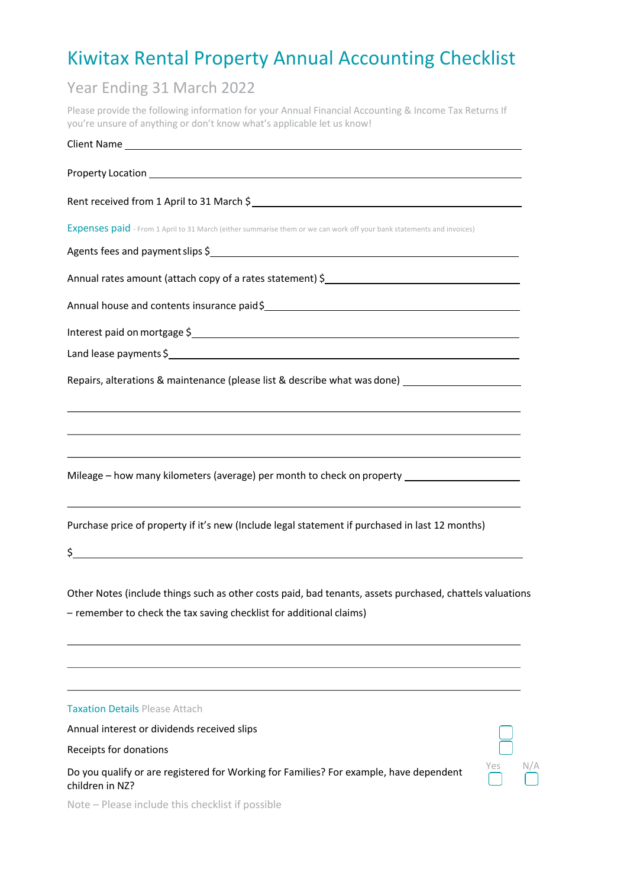# Kiwitax Rental Property Annual Accounting Checklist

### Year Ending 31 March 2022

Please provide the following information for your Annual Financial Accounting & Income Tax Returns If you're unsure of anything or don't know what's applicable let us know!

| Client Name                                                                                                                                                                                                                       |
|-----------------------------------------------------------------------------------------------------------------------------------------------------------------------------------------------------------------------------------|
|                                                                                                                                                                                                                                   |
| Rent received from 1 April to 31 March \$                                                                                                                                                                                         |
| Expenses paid - From 1 April to 31 March (either summarise them or we can work off your bank statements and invoices)                                                                                                             |
| Agents fees and payment slips \$<br>1999 - The Manual Assembly Services and District Services and District Services and District Services and District Services and District Services and District Services and District Services |
|                                                                                                                                                                                                                                   |
| Annual house and contents insurance paid\$<br>Manual house and contents insurance paid\$<br>Manual Annual Manual Manual Manual Manual Manual Manual Manual Manual Manual Manual Manual Manual Manual Manu                         |
| Interest paid on mortgage \$<br>1999 - The Manuel Alexander School and The Manuel Alexander School and The Manuel Alexander School and The Ma                                                                                     |
|                                                                                                                                                                                                                                   |
| Repairs, alterations & maintenance (please list & describe what was done) _________________________                                                                                                                               |
| ,我们也不会有一个人的人,我们也不会有一个人的人。""我们,我们也不会有一个人的人,我们也不会有一个人的人,我们也不会有一个人的人,我们也不会有一个人的人。""<br><u> 1989 - Johann Stoff, amerikansk politiker (d. 1989)</u>                                                                                   |
| <u> 1989 - Johann Stoff, fransk politik (f. 1989)</u><br>Mileage – how many kilometers (average) per month to check on property _____________________________                                                                     |
| ,我们也不会有什么。""我们的人,我们也不会有什么?""我们的人,我们也不会有什么?""我们的人,我们也不会有什么?""我们的人,我们也不会有什么?""我们的人<br>Purchase price of property if it's new (Include legal statement if purchased in last 12 months)                                               |
| $\frac{1}{2}$                                                                                                                                                                                                                     |
| Other Notes (include things such as other costs paid, bad tenants, assets purchased, chattels valuations<br>- remember to check the tax saving checklist for additional claims)                                                   |
|                                                                                                                                                                                                                                   |
|                                                                                                                                                                                                                                   |
| <b>Taxation Details Please Attach</b>                                                                                                                                                                                             |
| Annual interest or dividends received slips                                                                                                                                                                                       |

Do you qualify or are registered for Working for Families? For example, have dependent children in NZ?



Note – Please include this checklist if possible

Receipts for donations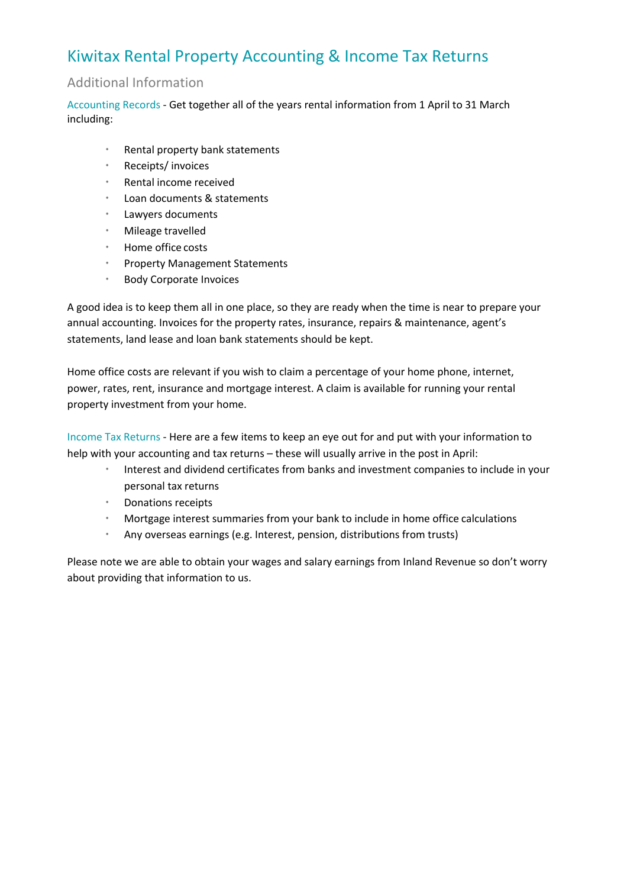## Kiwitax Rental Property Accounting & Income Tax Returns

#### Additional Information

Accounting Records - Get together all of the years rental information from 1 April to 31 March including:

- Rental property bank statements
- Receipts/ invoices
- Rental income received
- Loan documents & statements
- Lawyers documents
- Mileage travelled
- Home office costs
- Property Management Statements
- Body Corporate Invoices

A good idea is to keep them all in one place, so they are ready when the time is near to prepare your annual accounting. Invoices for the property rates, insurance, repairs & maintenance, agent's statements, land lease and loan bank statements should be kept.

Home office costs are relevant if you wish to claim a percentage of your home phone, internet, power, rates, rent, insurance and mortgage interest. A claim is available for running your rental property investment from your home.

Income Tax Returns - Here are a few items to keep an eye out for and put with your information to help with your accounting and tax returns – these will usually arrive in the post in April:

- Interest and dividend certificates from banks and investment companies to include in your personal tax returns
- Donations receipts
- Mortgage interest summaries from your bank to include in home office calculations
- Any overseas earnings (e.g. Interest, pension, distributions from trusts)

Please note we are able to obtain your wages and salary earnings from Inland Revenue so don't worry about providing that information to us.